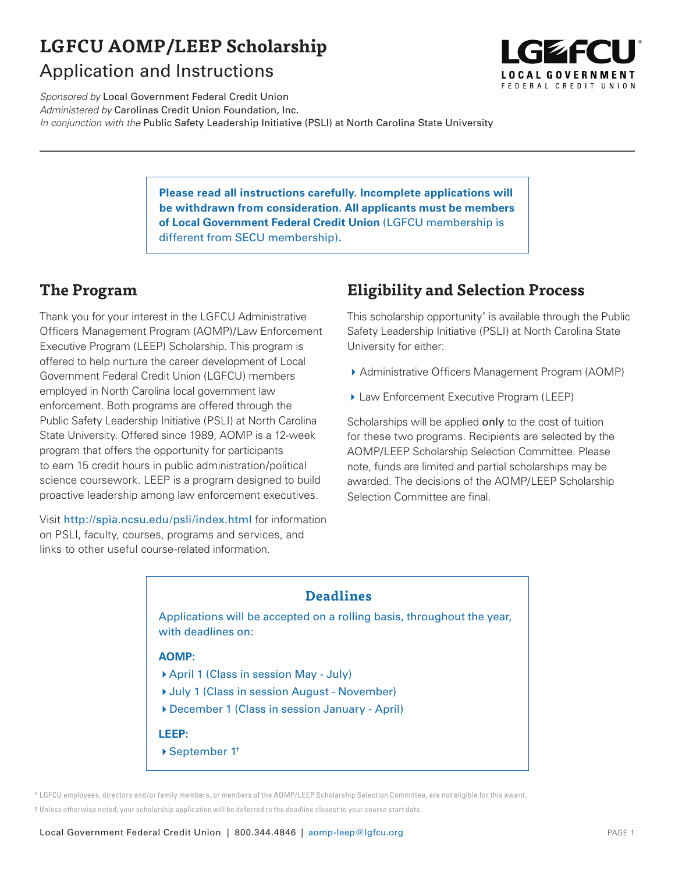# **LGFCU AOMP/LEEP Scholarship** Application and Instructions



Sponsored by Local Government Federal Credit Union Administered by Carolinas Credit Union Foundation, Inc. In conjunction with the Public Safety Leadership Initiative (PSLI) at North Carolina State University

> **Please read all instructions carefully. Incomplete applications will be withdrawn from consideration. All applicants must be members of Local Government Federal Credit Union** (LGFCU membership is different from SECU membership)**.**

### **The Program**

Thank you for your interest in the LGFCU Administrative Officers Management Program (AOMP)/Law Enforcement Executive Program (LEEP) Scholarship. This program is offered to help nurture the career development of Local Government Federal Credit Union (LGFCU) members employed in North Carolina local government law enforcement. Both programs are offered through the Public Safety Leadership Initiative (PSLI) at North Carolina State University. Offered since 1989, AOMP is a 12-week program that offers the opportunity for participants to earn 15 credit hours in public administration/political science coursework. LEEP is a program designed to build proactive leadership among law enforcement executives.

Visit http://spia.ncsu.edu/psli/index.html for information on PSLI, faculty, courses, programs and services, and links to other useful course-related information.

# **Eligibility and Selection Process**

This scholarship opportunity\* is available through the Public Safety Leadership Initiative (PSLI) at North Carolina State University for either:

- ▶ Administrative Officers Management Program (AOMP)
- ▶ Law Enforcement Executive Program (LEEP)

Scholarships will be applied only to the cost of tuition for these two programs. Recipients are selected by the AOMP/LEEP Scholarship Selection Committee. Please note, funds are limited and partial scholarships may be awarded. The decisions of the AOMP/LEEP Scholarship Selection Committee are final.

### **Deadlines**

Applications will be accepted on a rolling basis, throughout the year, with deadlines on:

#### **AOMP:**

- 4April 1 (Class in session May July)
- Uuly 1 (Class in session August November)
- 4December 1 (Class in session January April)

#### **LEEP:**

▶ September 1<sup>†</sup>

\* LGFCU employees, directors and/or family members, or members of the AOMP/LEEP Scholarship Selection Committee, are not eligible for this award. † Unless otherwise noted, your scholarship application will be deferred to the deadline closest to your course start date.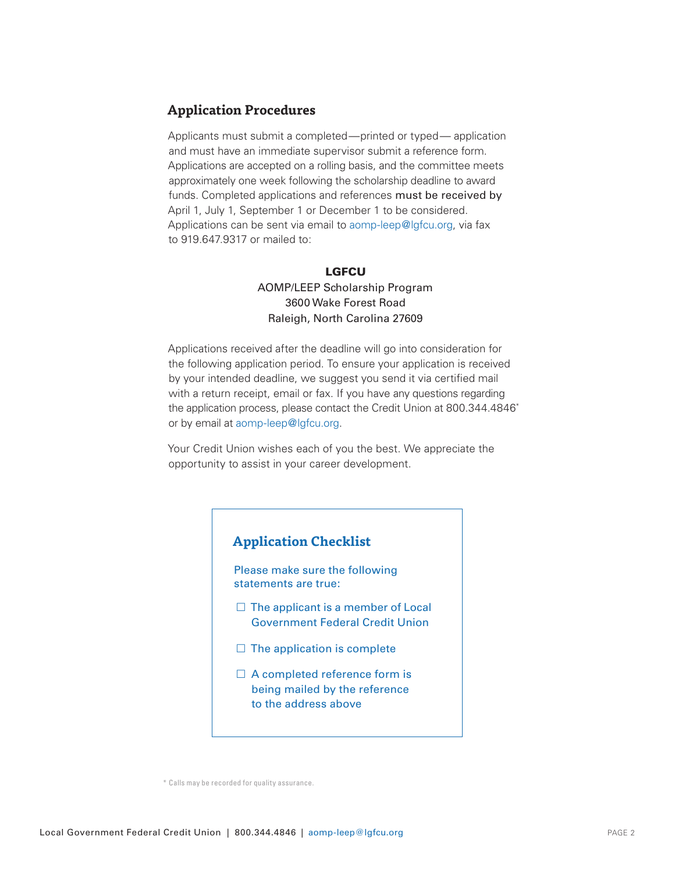### **Application Procedures**

Applicants must submit a completed—printed or typed— application and must have an immediate supervisor submit a reference form. Applications are accepted on a rolling basis, and the committee meets approximately one week following the scholarship deadline to award funds. Completed applications and references must be received by April 1, July 1, September 1 or December 1 to be considered. Applications can be sent via email to aomp-leep@lgfcu.org, via fax to 919.647.9317 or mailed to:

#### **LGFCU** AOMP/LEEP Scholarship Program 3600 Wake Forest Road Raleigh, North Carolina 27609

Applications received after the deadline will go into consideration for the following application period. To ensure your application is received by your intended deadline, we suggest you send it via certified mail with a return receipt, email or fax. If you have any questions regarding the application process, please contact the Credit Union at 800.344.4846\* or by email at aomp-leep@lgfcu.org.

Your Credit Union wishes each of you the best. We appreciate the opportunity to assist in your career development.



\* Calls may be recorded for quality assurance.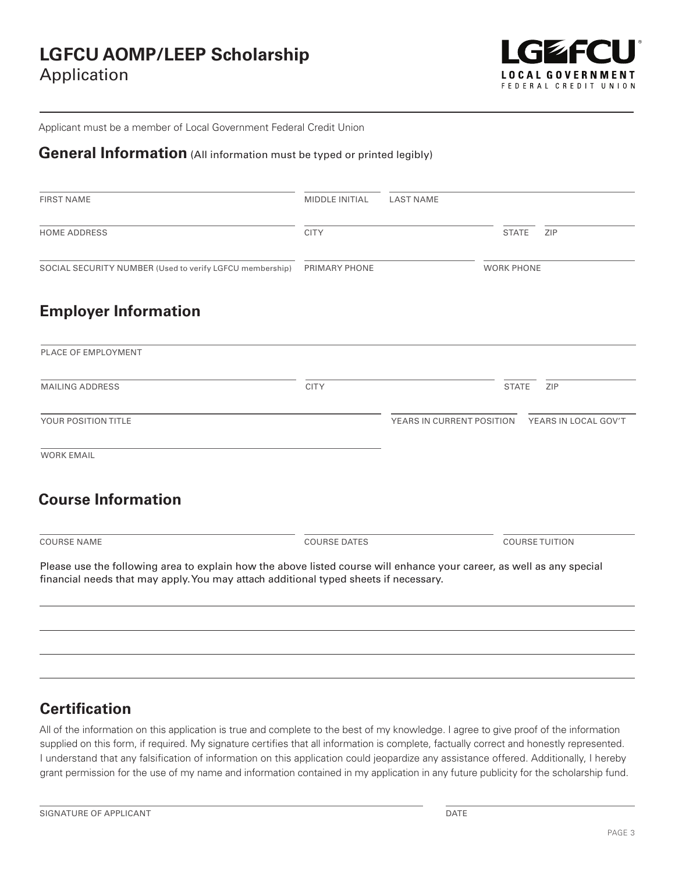

Applicant must be a member of Local Government Federal Credit Union

## **General Information** (All information must be typed or printed legibly)

| <b>FIRST NAME</b>                                                                                                                                                                                             | <b>MIDDLE INITIAL</b> | <b>LAST NAME</b>          |                   |                       |
|---------------------------------------------------------------------------------------------------------------------------------------------------------------------------------------------------------------|-----------------------|---------------------------|-------------------|-----------------------|
| <b>HOME ADDRESS</b>                                                                                                                                                                                           | <b>CITY</b>           |                           | <b>STATE</b>      | ZIP                   |
| SOCIAL SECURITY NUMBER (Used to verify LGFCU membership)                                                                                                                                                      | PRIMARY PHONE         |                           | <b>WORK PHONE</b> |                       |
| <b>Employer Information</b>                                                                                                                                                                                   |                       |                           |                   |                       |
| PLACE OF EMPLOYMENT                                                                                                                                                                                           |                       |                           |                   |                       |
| <b>MAILING ADDRESS</b>                                                                                                                                                                                        | <b>CITY</b>           |                           | <b>STATE</b>      | ZIP                   |
| YOUR POSITION TITLE                                                                                                                                                                                           |                       | YEARS IN CURRENT POSITION |                   | YEARS IN LOCAL GOV'T  |
| <b>WORK EMAIL</b>                                                                                                                                                                                             |                       |                           |                   |                       |
| <b>Course Information</b>                                                                                                                                                                                     |                       |                           |                   |                       |
| <b>COURSE NAME</b>                                                                                                                                                                                            | <b>COURSE DATES</b>   |                           |                   | <b>COURSE TUITION</b> |
| Please use the following area to explain how the above listed course will enhance your career, as well as any special<br>financial needs that may apply. You may attach additional typed sheets if necessary. |                       |                           |                   |                       |

### **Certification**

All of the information on this application is true and complete to the best of my knowledge. I agree to give proof of the information supplied on this form, if required. My signature certifies that all information is complete, factually correct and honestly represented. I understand that any falsification of information on this application could jeopardize any assistance offered. Additionally, I hereby grant permission for the use of my name and information contained in my application in any future publicity for the scholarship fund.